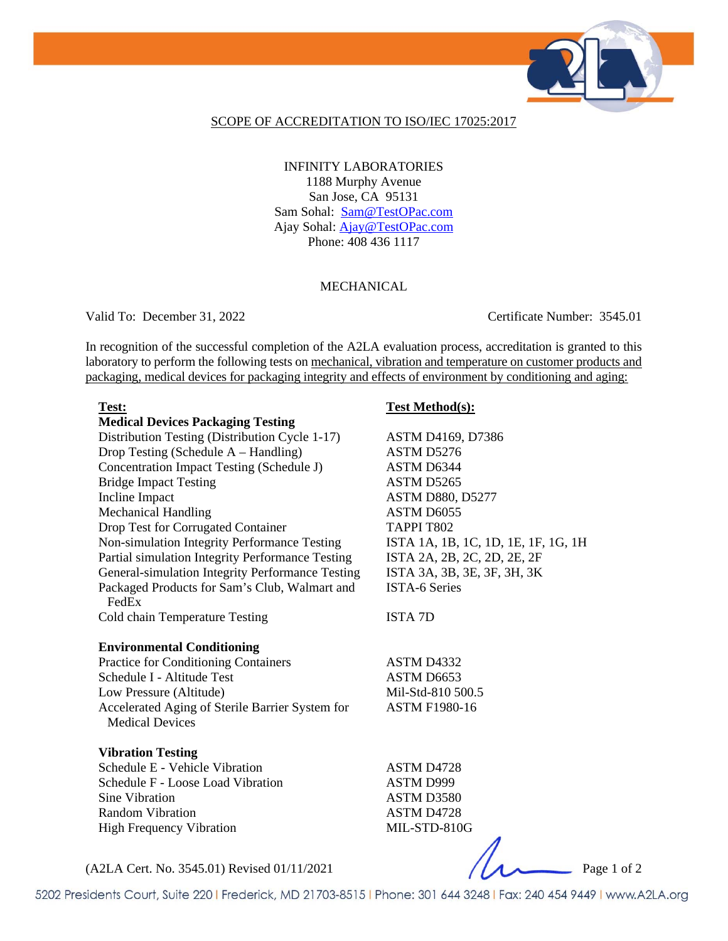

#### SCOPE OF ACCREDITATION TO ISO/IEC 17025:2017

INFINITY LABORATORIES 1188 Murphy Avenue San Jose, CA 95131 Sam Sohal: Sam@TestOPac.com Ajay Sohal: **Ajay@TestOPac.com** Phone: 408 436 1117

### MECHANICAL

Valid To: December 31, 2022 Certificate Number: 3545.01

In recognition of the successful completion of the A2LA evaluation process, accreditation is granted to this laboratory to perform the following tests on mechanical, vibration and temperature on customer products and packaging, medical devices for packaging integrity and effects of environment by conditioning and aging:

### **Test: Test Method(s):**

j

|                                                                           | $\frac{1}{2}$                       |
|---------------------------------------------------------------------------|-------------------------------------|
| <b>Medical Devices Packaging Testing</b>                                  |                                     |
| Distribution Testing (Distribution Cycle 1-17)                            | ASTM D4169, D7386                   |
| Drop Testing (Schedule A – Handling)                                      | ASTM D5276                          |
| Concentration Impact Testing (Schedule J)                                 | ASTM D6344                          |
| <b>Bridge Impact Testing</b>                                              | ASTM D5265                          |
| Incline Impact                                                            | <b>ASTM D880, D5277</b>             |
| <b>Mechanical Handling</b>                                                | ASTM D6055                          |
| Drop Test for Corrugated Container                                        | TAPPI T802                          |
| Non-simulation Integrity Performance Testing                              | ISTA 1A, 1B, 1C, 1D, 1E, 1F, 1G, 1H |
| Partial simulation Integrity Performance Testing                          | ISTA 2A, 2B, 2C, 2D, 2E, 2F         |
| General-simulation Integrity Performance Testing                          | ISTA 3A, 3B, 3E, 3F, 3H, 3K         |
| Packaged Products for Sam's Club, Walmart and<br>FedEx                    | <b>ISTA-6 Series</b>                |
| Cold chain Temperature Testing                                            | <b>ISTA 7D</b>                      |
| <b>Environmental Conditioning</b>                                         |                                     |
| Practice for Conditioning Containers                                      | ASTM D4332                          |
| Schedule I - Altitude Test                                                | ASTM D6653                          |
| Low Pressure (Altitude)                                                   | Mil-Std-810 500.5                   |
| Accelerated Aging of Sterile Barrier System for<br><b>Medical Devices</b> | <b>ASTM F1980-16</b>                |
| <b>Vibration Testing</b>                                                  |                                     |
| Schedule E - Vehicle Vibration                                            | ASTM D4728                          |
| Schedule F - Loose Load Vibration                                         | ASTM D999                           |
| Sine Vibration                                                            | ASTM D3580                          |
| <b>Random Vibration</b>                                                   | ASTM D4728                          |
| <b>High Frequency Vibration</b>                                           | MIL-STD-810G                        |
|                                                                           | $\sim$ $\sim$                       |
|                                                                           |                                     |

(A2LA Cert. No. 3545.01) Revised 01/11/2021 Page 1 of 2

5202 Presidents Court, Suite 220 | Frederick, MD 21703-8515 | Phone: 301 644 3248 | Fax: 240 454 9449 | www.A2LA.org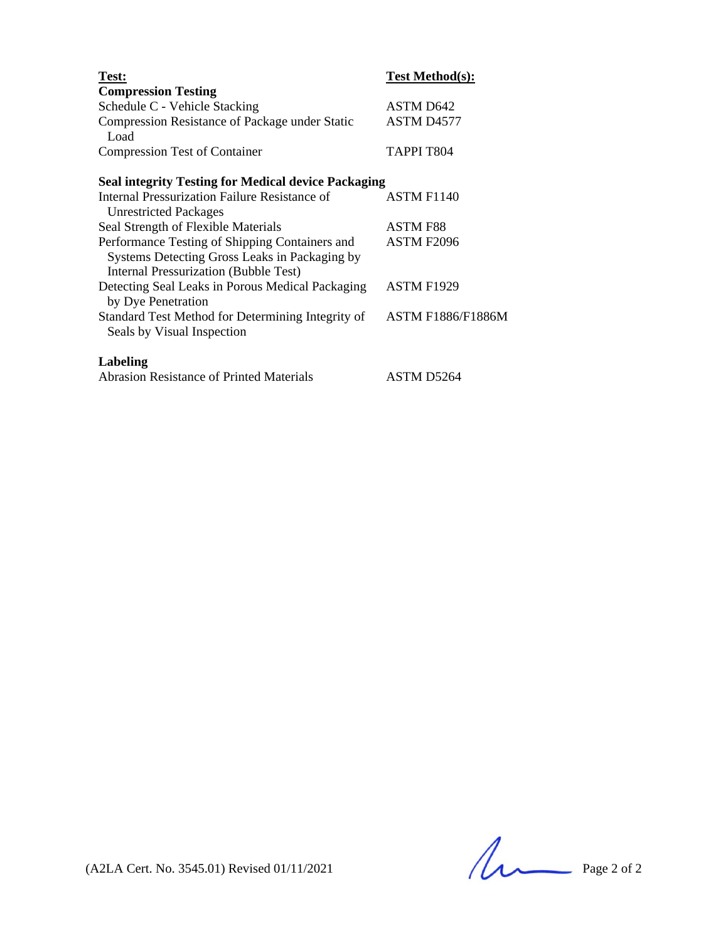| Test:                                                                                                                                           | <b>Test Method(s):</b>   |
|-------------------------------------------------------------------------------------------------------------------------------------------------|--------------------------|
| <b>Compression Testing</b>                                                                                                                      |                          |
| Schedule C - Vehicle Stacking                                                                                                                   | ASTM D642                |
| Compression Resistance of Package under Static<br>Load                                                                                          | ASTM D4577               |
| <b>Compression Test of Container</b>                                                                                                            | TAPPI T804               |
| <b>Seal integrity Testing for Medical device Packaging</b>                                                                                      |                          |
| Internal Pressurization Failure Resistance of<br><b>Unrestricted Packages</b>                                                                   | ASTM F1140               |
| Seal Strength of Flexible Materials                                                                                                             | <b>ASTM F88</b>          |
| Performance Testing of Shipping Containers and<br>Systems Detecting Gross Leaks in Packaging by<br><b>Internal Pressurization (Bubble Test)</b> | ASTM F2096               |
| Detecting Seal Leaks in Porous Medical Packaging<br>by Dye Penetration                                                                          | <b>ASTM F1929</b>        |
| Standard Test Method for Determining Integrity of<br>Seals by Visual Inspection                                                                 | <b>ASTM F1886/F1886M</b> |
| Labeling                                                                                                                                        |                          |

| <b>Abrasion Resistance of Printed Materials</b> | ASTM D5264 |
|-------------------------------------------------|------------|
|                                                 |            |

 $(A2LA$  Cert. No. 3545.01) Revised 01/11/2021 Page 2 of 2